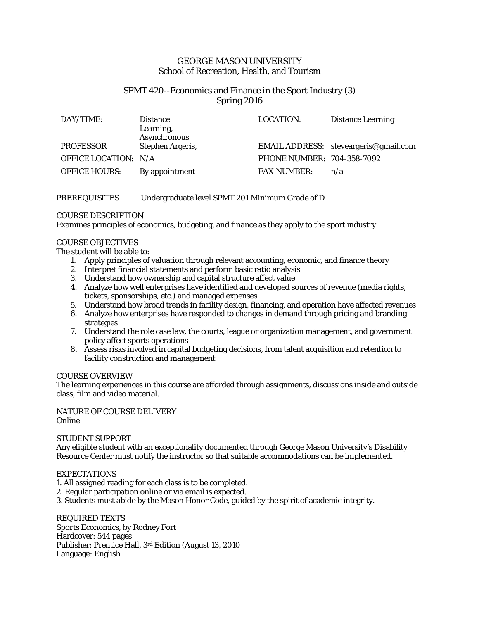# GEORGE MASON UNIVERSITY School of Recreation, Health, and Tourism

# SPMT 420--Economics and Finance in the Sport Industry (3) Spring 2016

| DAY/TIME:            | <b>Distance</b><br>Learning,<br>Asynchronous | <b>LOCATION:</b>           | <b>Distance Learning</b>              |
|----------------------|----------------------------------------------|----------------------------|---------------------------------------|
| <b>PROFESSOR</b>     | Stephen Argeris,                             |                            | EMAIL ADDRESS: steveargeris@gmail.com |
| OFFICE LOCATION: N/A |                                              | PHONE NUMBER: 704-358-7092 |                                       |
| <b>OFFICE HOURS:</b> | By appointment                               | <b>FAX NUMBER:</b>         | n/a                                   |

# PREREQUISITES Undergraduate level SPMT 201 Minimum Grade of D

## COURSE DESCRIPTION

Examines principles of economics, budgeting, and finance as they apply to the sport industry.

## COURSE OBJECTIVES

The student will be able to:

- 1. Apply principles of valuation through relevant accounting, economic, and finance theory
- 2. Interpret financial statements and perform basic ratio analysis
- 3. Understand how ownership and capital structure affect value
- 4. Analyze how well enterprises have identified and developed sources of revenue (media rights, tickets, sponsorships, etc.) and managed expenses
- 5. Understand how broad trends in facility design, financing, and operation have affected revenues
- 6. Analyze how enterprises have responded to changes in demand through pricing and branding strategies
- 7. Understand the role case law, the courts, league or organization management, and government policy affect sports operations
- 8. Assess risks involved in capital budgeting decisions, from talent acquisition and retention to facility construction and management

### COURSE OVERVIEW

The learning experiences in this course are afforded through assignments, discussions inside and outside class, film and video material.

### NATURE OF COURSE DELIVERY Online

### STUDENT SUPPORT

Any eligible student with an exceptionality documented through George Mason University's Disability Resource Center must notify the instructor so that suitable accommodations can be implemented.

## **EXPECTATIONS**

- 1. All assigned reading for each class is to be completed.
- 2. Regular participation online or via email is expected.
- 3. Students must abide by the Mason Honor Code, guided by the spirit of academic integrity.

REQUIRED TEXTS *Sports Economics*, by Rodney Fort Hardcover: 544 pages Publisher: Prentice Hall, 3rd Edition (August 13, 2010 Language: English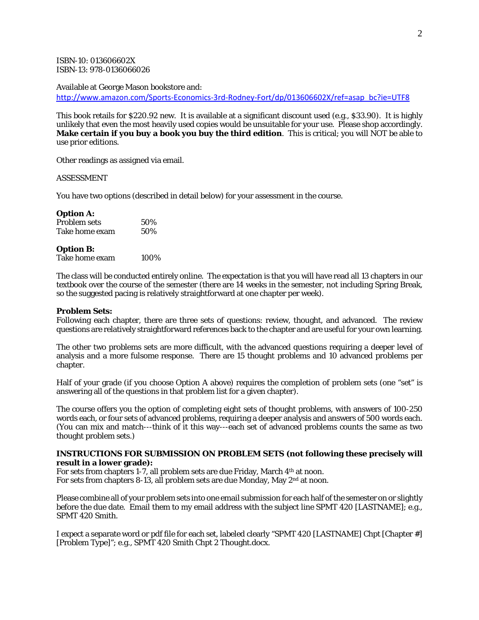ISBN-10: 013606602X ISBN-13: 978-0136066026

Available at George Mason bookstore and:

[http://www.amazon.com/Sports-Economics-3rd-Rodney-Fort/dp/013606602X/ref=asap\\_bc?ie=UTF8](http://www.amazon.com/Sports-Economics-3rd-Rodney-Fort/dp/013606602X/ref=asap_bc?ie=UTF8)

This book retails for \$220.92 new. It is available at a significant discount used (e.g., \$33.90). It is highly unlikely that even the most heavily used copies would be unsuitable for your use. Please shop accordingly. **Make certain if you buy a book you buy the third edition**. This is critical; you will NOT be able to use prior editions.

Other readings as assigned via email.

### ASSESSMENT

You have two options (described in detail below) for your assessment in the course.

#### **Option A:**

| Problem sets   | 50% |
|----------------|-----|
| Take home exam | 50% |

#### **Option B:**

Take home exam 100%

The class will be conducted entirely online. The expectation is that you will have read all 13 chapters in our textbook over the course of the semester (there are 14 weeks in the semester, not including Spring Break, so the suggested pacing is relatively straightforward at one chapter per week).

### **Problem Sets:**

Following each chapter, there are three sets of questions: review, thought, and advanced. The review questions are relatively straightforward references back to the chapter and are useful for your own learning.

The other two problems sets are more difficult, with the advanced questions requiring a deeper level of analysis and a more fulsome response. There are 15 thought problems and 10 advanced problems per chapter.

Half of your grade (if you choose Option A above) requires the completion of problem sets (one "set" is answering all of the questions in that problem list for a given chapter).

The course offers you the option of completing eight sets of thought problems, with answers of 100-250 words each, or four sets of advanced problems, requiring a deeper analysis and answers of 500 words each. (You can mix and match---think of it this way---each set of advanced problems counts the same as two thought problem sets.)

### **INSTRUCTIONS FOR SUBMISSION ON PROBLEM SETS (not following these precisely will result in a lower grade):**

For sets from chapters 1-7, all problem sets are due Friday, March 4th at noon. For sets from chapters 8-13, all problem sets are due Monday, May 2nd at noon.

Please combine all of your problem sets into one email submission for each half of the semester on or slightly before the due date. Email them to my email address with the subject line SPMT 420 [LASTNAME]; e.g., SPMT 420 Smith.

I expect a separate word or pdf file for each set, labeled clearly "SPMT 420 [LASTNAME] Chpt [Chapter #] [Problem Type]"; e.g., SPMT 420 Smith Chpt 2 Thought.docx.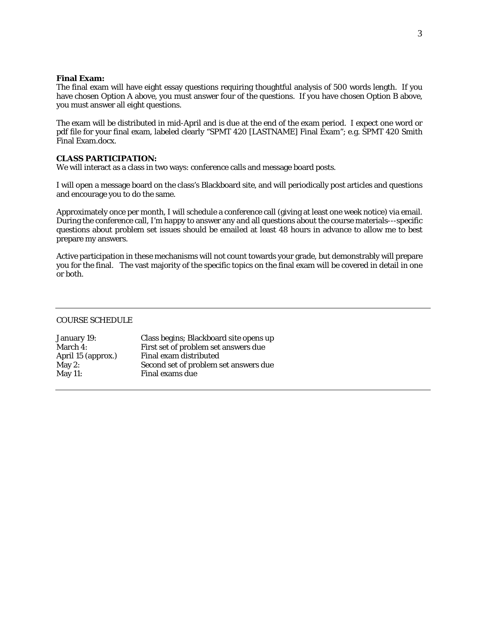### **Final Exam:**

The final exam will have eight essay questions requiring thoughtful analysis of 500 words length. If you have chosen Option A above, you must answer four of the questions. If you have chosen Option B above, you must answer all eight questions.

The exam will be distributed in mid-April and is due at the end of the exam period. I expect one word or pdf file for your final exam, labeled clearly "SPMT 420 [LASTNAME] Final Exam"; e.g. SPMT 420 Smith Final Exam.docx.

## **CLASS PARTICIPATION:**

We will interact as a class in two ways: conference calls and message board posts.

I will open a message board on the class's Blackboard site, and will periodically post articles and questions and encourage you to do the same.

Approximately once per month, I will schedule a conference call (giving at least one week notice) via email. During the conference call, I'm happy to answer any and all questions about the course materials---specific questions about problem set issues should be emailed at least 48 hours in advance to allow me to best prepare my answers.

Active participation in these mechanisms will not count towards your grade, but demonstrably will prepare you for the final. The vast majority of the specific topics on the final exam will be covered in detail in one or both.

### COURSE SCHEDULE

| January 19:        | Class begins; Blackboard site opens up |
|--------------------|----------------------------------------|
| March 4:           | First set of problem set answers due   |
| April 15 (approx.) | Final exam distributed                 |
| May 2:             | Second set of problem set answers due  |
| May $11$ :         | Final exams due                        |
|                    |                                        |